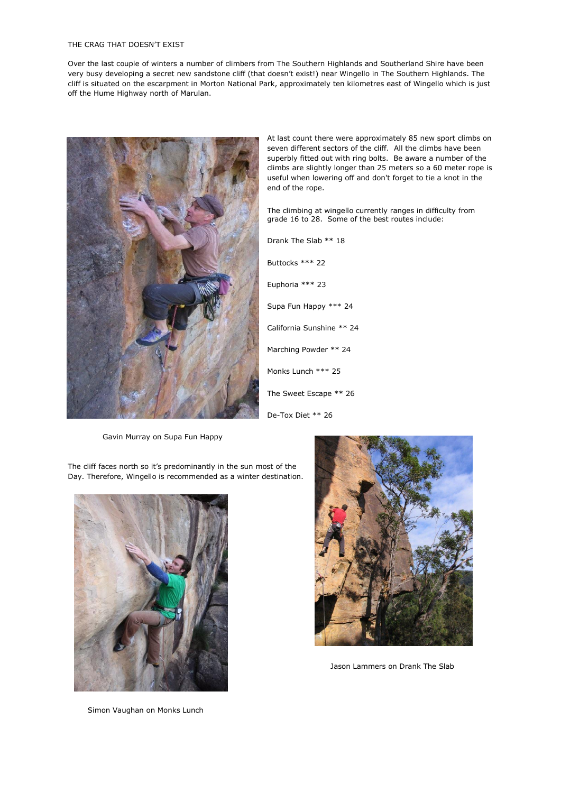## THE CRAG THAT DOESN'T EXIST

Over the last couple of winters a number of climbers from The Southern Highlands and Southerland Shire have been very busy developing a secret new sandstone cliff (that doesn't exist!) near Wingello in The Southern Highlands. The cliff is situated on the escarpment in Morton National Park, approximately ten kilometres east of Wingello which is just off the Hume Highway north of Marulan.



At last count there were approximately 85 new sport climbs on seven different sectors of the cliff. All the climbs have been superbly fitted out with ring bolts. Be aware a number of the climbs are slightly longer than 25 meters so a 60 meter rope is useful when lowering off and don't forget to tie a knot in the end of the rope.

The climbing at wingello currently ranges in difficulty from grade 16 to 28. Some of the best routes include:

| Drank The Slab ** 18      |
|---------------------------|
| Buttocks *** 22           |
| Euphoria *** 23           |
| Supa Fun Happy *** 24     |
| California Sunshine ** 24 |
| Marching Powder ** 24     |
| Monks Lunch *** 25        |
| The Sweet Escape ** 26    |
| De-Tox Diet ** 26         |

Gavin Murray on Supa Fun Happy

The cliff faces north so it's predominantly in the sun most of the Day. Therefore, Wingello is recommended as a winter destination.



Simon Vaughan on Monks Lunch



Jason Lammers on Drank The Slab